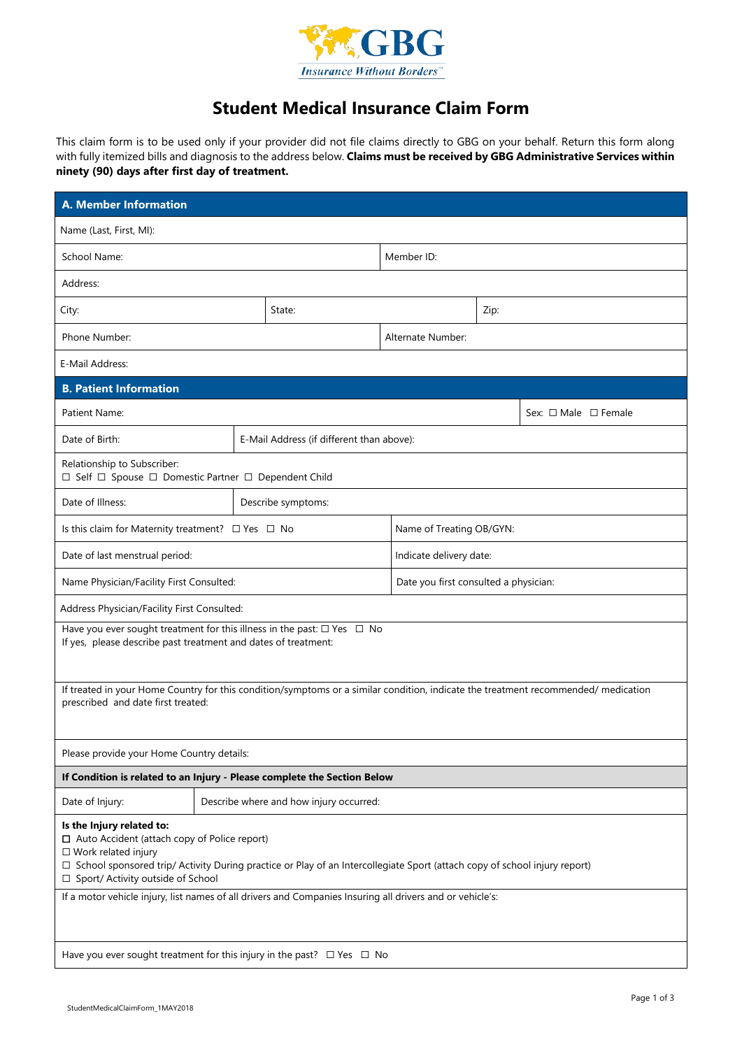

## **Student Medical Insurance Claim Form**

This claim form is to be used only if your provider did not file claims directly to GBG on your behalf. Return this form along with fully itemized bills and diagnosis to the address below. **Claims must be received by GBG Administrative Services within ninety (90) days after first day of treatment.**

| <b>A. Member Information</b>                                                                                                                                                                                                                                                            |  |                                           |                                       |      |                                |  |
|-----------------------------------------------------------------------------------------------------------------------------------------------------------------------------------------------------------------------------------------------------------------------------------------|--|-------------------------------------------|---------------------------------------|------|--------------------------------|--|
| Name (Last, First, MI):                                                                                                                                                                                                                                                                 |  |                                           |                                       |      |                                |  |
| School Name:                                                                                                                                                                                                                                                                            |  |                                           | Member ID:                            |      |                                |  |
| Address:                                                                                                                                                                                                                                                                                |  |                                           |                                       |      |                                |  |
| City:                                                                                                                                                                                                                                                                                   |  | State:                                    |                                       | Zip: |                                |  |
| Phone Number:                                                                                                                                                                                                                                                                           |  |                                           | Alternate Number:                     |      |                                |  |
| E-Mail Address:                                                                                                                                                                                                                                                                         |  |                                           |                                       |      |                                |  |
| <b>B. Patient Information</b>                                                                                                                                                                                                                                                           |  |                                           |                                       |      |                                |  |
| Patient Name:                                                                                                                                                                                                                                                                           |  |                                           |                                       |      | Sex: $\Box$ Male $\Box$ Female |  |
| Date of Birth:                                                                                                                                                                                                                                                                          |  | E-Mail Address (if different than above): |                                       |      |                                |  |
| Relationship to Subscriber:<br>$\Box$ Self $\Box$ Spouse $\Box$ Domestic Partner $\Box$ Dependent Child                                                                                                                                                                                 |  |                                           |                                       |      |                                |  |
| Date of Illness:                                                                                                                                                                                                                                                                        |  | Describe symptoms:                        |                                       |      |                                |  |
| Is this claim for Maternity treatment? $\Box$ Yes $\Box$ No                                                                                                                                                                                                                             |  |                                           | Name of Treating OB/GYN:              |      |                                |  |
| Date of last menstrual period:                                                                                                                                                                                                                                                          |  |                                           | Indicate delivery date:               |      |                                |  |
| Name Physician/Facility First Consulted:                                                                                                                                                                                                                                                |  |                                           | Date you first consulted a physician: |      |                                |  |
| Address Physician/Facility First Consulted:                                                                                                                                                                                                                                             |  |                                           |                                       |      |                                |  |
| Have you ever sought treatment for this illness in the past: $\Box$ Yes $\Box$ No<br>If yes, please describe past treatment and dates of treatment:                                                                                                                                     |  |                                           |                                       |      |                                |  |
| If treated in your Home Country for this condition/symptoms or a similar condition, indicate the treatment recommended/ medication<br>prescribed and date first treated:                                                                                                                |  |                                           |                                       |      |                                |  |
| Please provide your Home Country details:                                                                                                                                                                                                                                               |  |                                           |                                       |      |                                |  |
| If Condition is related to an Injury - Please complete the Section Below                                                                                                                                                                                                                |  |                                           |                                       |      |                                |  |
| Date of Injury:                                                                                                                                                                                                                                                                         |  | Describe where and how injury occurred:   |                                       |      |                                |  |
| Is the Injury related to:<br>$\Box$ Auto Accident (attach copy of Police report)<br>$\square$ Work related injury<br>□ School sponsored trip/ Activity During practice or Play of an Intercollegiate Sport (attach copy of school injury report)<br>□ Sport/ Activity outside of School |  |                                           |                                       |      |                                |  |
| If a motor vehicle injury, list names of all drivers and Companies Insuring all drivers and or vehicle's:                                                                                                                                                                               |  |                                           |                                       |      |                                |  |
| Have you ever sought treatment for this injury in the past? $\Box$ Yes $\Box$ No                                                                                                                                                                                                        |  |                                           |                                       |      |                                |  |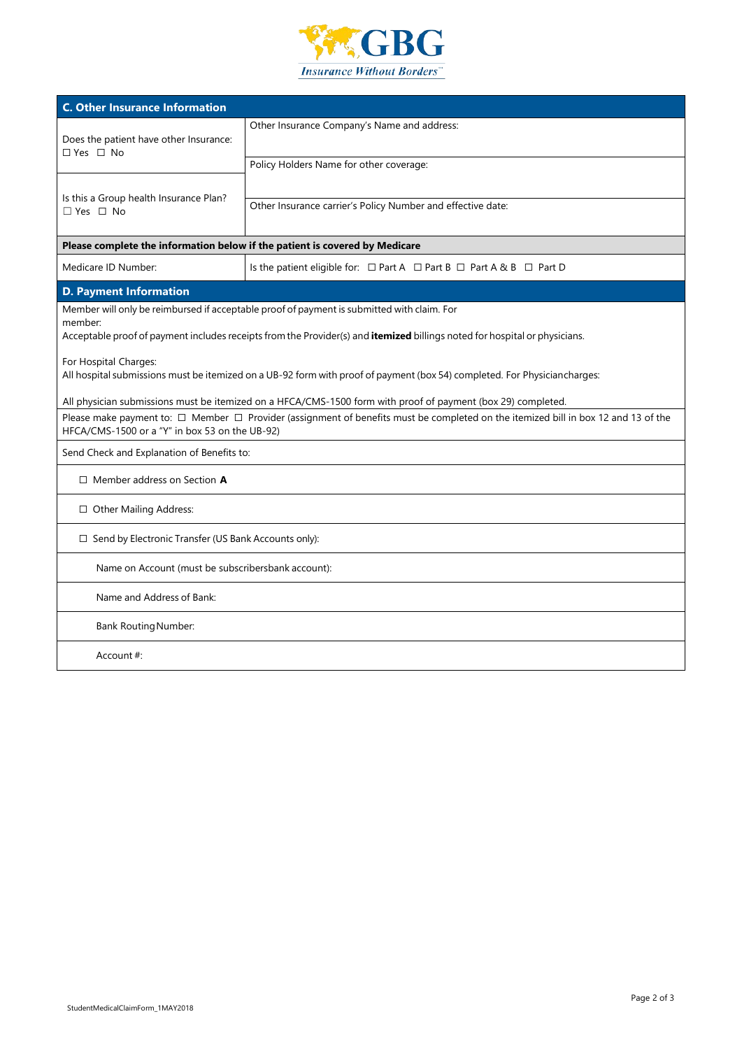

| <b>C. Other Insurance Information</b>                                                                                                                                                                                               |                                                                                                              |  |  |  |  |
|-------------------------------------------------------------------------------------------------------------------------------------------------------------------------------------------------------------------------------------|--------------------------------------------------------------------------------------------------------------|--|--|--|--|
| Does the patient have other Insurance:<br>$\Box$ Yes $\Box$ No                                                                                                                                                                      | Other Insurance Company's Name and address:                                                                  |  |  |  |  |
| Is this a Group health Insurance Plan?<br>$\Box$ Yes $\Box$ No                                                                                                                                                                      | Policy Holders Name for other coverage:                                                                      |  |  |  |  |
|                                                                                                                                                                                                                                     | Other Insurance carrier's Policy Number and effective date:                                                  |  |  |  |  |
| Please complete the information below if the patient is covered by Medicare                                                                                                                                                         |                                                                                                              |  |  |  |  |
| Medicare ID Number:                                                                                                                                                                                                                 | Is the patient eligible for: □ Part A □ Part B □ Part A & B □ Part D                                         |  |  |  |  |
| <b>D. Payment Information</b>                                                                                                                                                                                                       |                                                                                                              |  |  |  |  |
| Member will only be reimbursed if acceptable proof of payment is submitted with claim. For<br>member:<br>Acceptable proof of payment includes receipts from the Provider(s) and itemized billings noted for hospital or physicians. |                                                                                                              |  |  |  |  |
| For Hospital Charges:<br>All hospital submissions must be itemized on a UB-92 form with proof of payment (box 54) completed. For Physiciancharges:                                                                                  |                                                                                                              |  |  |  |  |
|                                                                                                                                                                                                                                     | All physician submissions must be itemized on a HFCA/CMS-1500 form with proof of payment (box 29) completed. |  |  |  |  |
| Please make payment to: □ Member □ Provider (assignment of benefits must be completed on the itemized bill in box 12 and 13 of the<br>HFCA/CMS-1500 or a "Y" in box 53 on the UB-92)                                                |                                                                                                              |  |  |  |  |
| Send Check and Explanation of Benefits to:                                                                                                                                                                                          |                                                                                                              |  |  |  |  |
| $\Box$ Member address on Section A                                                                                                                                                                                                  |                                                                                                              |  |  |  |  |
| □ Other Mailing Address:                                                                                                                                                                                                            |                                                                                                              |  |  |  |  |
| □ Send by Electronic Transfer (US Bank Accounts only):                                                                                                                                                                              |                                                                                                              |  |  |  |  |
| Name on Account (must be subscribersbank account):                                                                                                                                                                                  |                                                                                                              |  |  |  |  |
| Name and Address of Bank:                                                                                                                                                                                                           |                                                                                                              |  |  |  |  |
| <b>Bank Routing Number:</b>                                                                                                                                                                                                         |                                                                                                              |  |  |  |  |
| Account $#$ :                                                                                                                                                                                                                       |                                                                                                              |  |  |  |  |